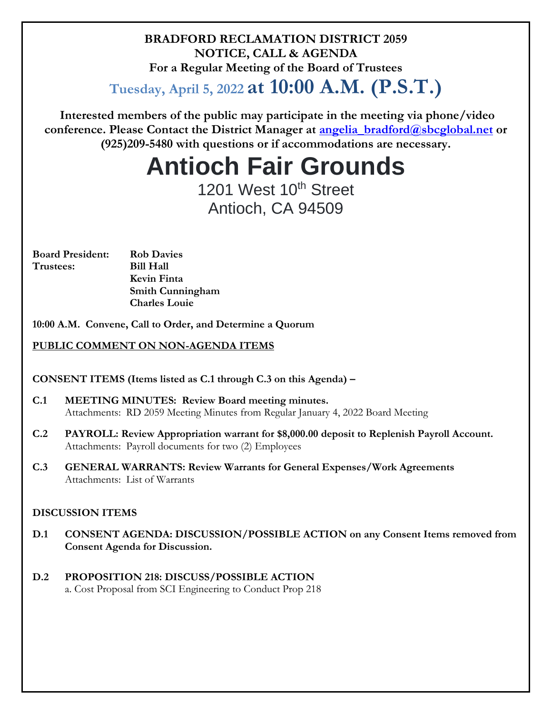### **BRADFORD RECLAMATION DISTRICT 2059 NOTICE, CALL & AGENDA For a Regular Meeting of the Board of Trustees**

**Tuesday, April 5, 2022 at 10:00 A.M. (P.S.T.)**

**Interested members of the public may participate in the meeting via phone/video conference. Please Contact the District Manager at [angelia\\_bradford@sbcglobal.net](mailto:angelia_bradford@sbcglobal.net) or (925)209-5480 with questions or if accommodations are necessary.**

# **Antioch Fair Grounds**

1201 West 10<sup>th</sup> Street Antioch, CA 94509

| <b>Board President:</b> | <b>Rob Davies</b>       |
|-------------------------|-------------------------|
| Trustees:               | <b>Bill Hall</b>        |
|                         | Kevin Finta             |
|                         | <b>Smith Cunningham</b> |
|                         | <b>Charles Louie</b>    |
|                         |                         |

**10:00 A.M. Convene, Call to Order, and Determine a Quorum**

#### **PUBLIC COMMENT ON NON-AGENDA ITEMS**

**CONSENT ITEMS (Items listed as C.1 through C.3 on this Agenda) –**

- **C.1 MEETING MINUTES: Review Board meeting minutes.**  Attachments: RD 2059 Meeting Minutes from Regular January 4, 2022 Board Meeting
- **C.2 PAYROLL: Review Appropriation warrant for \$8,000.00 deposit to Replenish Payroll Account.** Attachments: Payroll documents for two (2) Employees
- **C.3 GENERAL WARRANTS: Review Warrants for General Expenses/Work Agreements** Attachments: List of Warrants

#### **DISCUSSION ITEMS**

- **D.1 CONSENT AGENDA: DISCUSSION/POSSIBLE ACTION on any Consent Items removed from Consent Agenda for Discussion.**
- **D.2 PROPOSITION 218: DISCUSS/POSSIBLE ACTION** a. Cost Proposal from SCI Engineering to Conduct Prop 218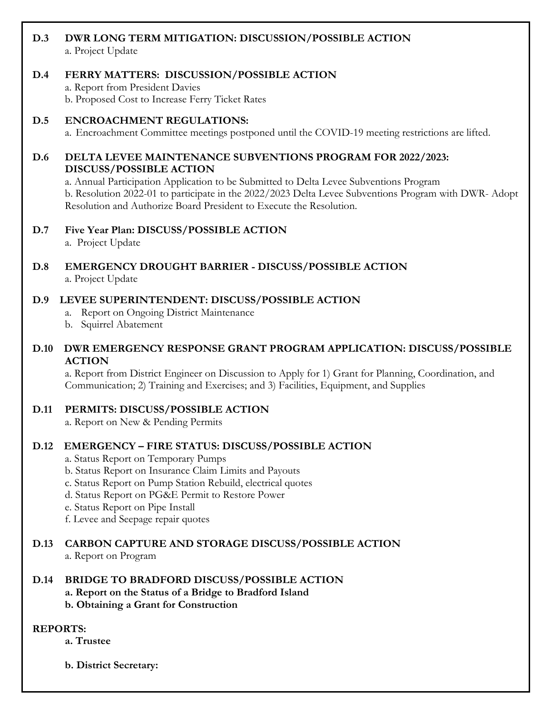### **D.3 DWR LONG TERM MITIGATION: DISCUSSION/POSSIBLE ACTION**

a. Project Update

#### **D.4 FERRY MATTERS: DISCUSSION/POSSIBLE ACTION**

a. Report from President Davies

b. Proposed Cost to Increase Ferry Ticket Rates

#### **D.5 ENCROACHMENT REGULATIONS:**

a. Encroachment Committee meetings postponed until the COVID-19 meeting restrictions are lifted.

#### **D.6 DELTA LEVEE MAINTENANCE SUBVENTIONS PROGRAM FOR 2022/2023: DISCUSS/POSSIBLE ACTION**

a. Annual Participation Application to be Submitted to Delta Levee Subventions Program b. Resolution 2022-01 to participate in the 2022/2023 Delta Levee Subventions Program with DWR- Adopt Resolution and Authorize Board President to Execute the Resolution.

#### **D.7 Five Year Plan: DISCUSS/POSSIBLE ACTION**

a. Project Update

#### **D.8 EMERGENCY DROUGHT BARRIER - DISCUSS/POSSIBLE ACTION** a. Project Update

#### **D.9 LEVEE SUPERINTENDENT: DISCUSS/POSSIBLE ACTION**

- a. Report on Ongoing District Maintenance
- b. Squirrel Abatement

#### **D.10 DWR EMERGENCY RESPONSE GRANT PROGRAM APPLICATION: DISCUSS/POSSIBLE ACTION**

a. Report from District Engineer on Discussion to Apply for 1) Grant for Planning, Coordination, and Communication; 2) Training and Exercises; and 3) Facilities, Equipment, and Supplies

#### **D.11 PERMITS: DISCUSS/POSSIBLE ACTION**

a. Report on New & Pending Permits

#### **D.12 EMERGENCY – FIRE STATUS: DISCUSS/POSSIBLE ACTION**

- a. Status Report on Temporary Pumps
- b. Status Report on Insurance Claim Limits and Payouts
- c. Status Report on Pump Station Rebuild, electrical quotes
- d. Status Report on PG&E Permit to Restore Power
- e. Status Report on Pipe Install
- f. Levee and Seepage repair quotes

## **D.13 CARBON CAPTURE AND STORAGE DISCUSS/POSSIBLE ACTION**

a. Report on Program

#### **D.14 BRIDGE TO BRADFORD DISCUSS/POSSIBLE ACTION**

- **a. Report on the Status of a Bridge to Bradford Island**
- **b. Obtaining a Grant for Construction**

#### **REPORTS:**

**a. Trustee**

**b. District Secretary:**